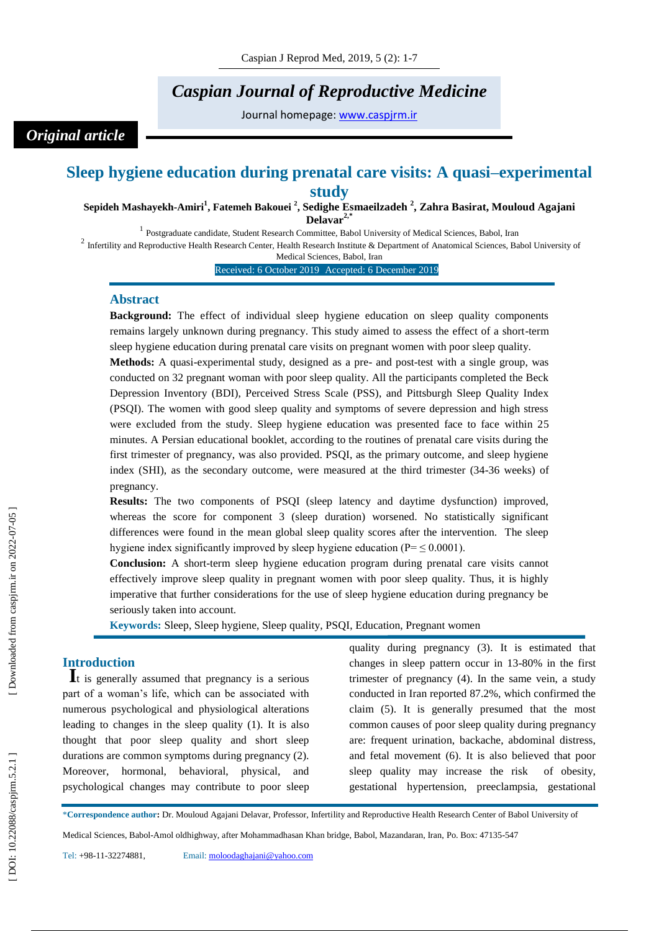# *Caspian Journal of Reproductive Medicine*

Journal homepage: [www.caspjrm.ir](http://www.caspjrm.ir/)

## *Original article*

## Sleep hygiene education during prenatal care visits: A quasi-experimental **study**

**Sepideh Mashayekh -Amiri 1 , Fatemeh Bakouei 2 , Sedighe Esmaeilzadeh 2 , Zahra Basirat, Mouloud Agajani**  Delavar<sup>2,</sup>

<sup>1</sup> Postgraduate candidate, Student Research Committee, Babol University of Medical Sciences, Babol, Iran <sup>2</sup> Infertility and Reproductive Health Research Center, Health Research Institute & Department of Anatomical Sciences, Babol University of

Medical Sciences, Babol, Iran

Received: 6 October 2019 Accepted: 6 December 2019

#### **Abstract**

**Background:** The effect of individual sleep hygiene education on sleep quality components remains largely unknown during pregnancy. This study aimed to assess the effect of a short -term sleep hygiene education during prenatal care visits on pregnant women with poor sleep quality.

Methods: A quasi-experimental study, designed as a pre- and post-test with a single group, was conducted on 32 pregnant woman with poor sleep quality. All the participants completed the Beck Depression Inventory (BDI), Perceived Stress Scale (PSS), and Pittsburgh Sleep Quality Index (PSQI). The women with good sleep quality and symptoms of severe depression and high stress were excluded from the study. Sleep hygiene education was presented face to face within 25 minutes. A Persian educational booklet, according to the routines of prenatal care visits during the first trimester of pregnancy, was also provided. PSQI, as the primary outcome, and sleep hygiene index (SHI), as the secondary outcome, were measured at the third trimester (34-36 weeks) of pregnancy.

**Results:** The two components of PSQI (sleep latency and daytime dysfunction) improved, whereas the score for component 3 (sleep duration) worsened. No statistically significant differences were found in the mean global sleep quality scores after the intervention. The sleep hygiene index significantly improved by sleep hygiene education ( $P = \leq 0.0001$ ).

**Conclusion:** A short -term sleep hygiene education program during prenatal care visits cannot effectively improve sleep quality in pregnant women with poor sleep quality. Thus, it is highly imperative that further considerations for the use of sleep hygiene education during pregnancy be seriously taken into account.

**Keywords:** Sleep, Sleep hygiene, Sleep quality, PSQI, Education, Pregnant women

**Introduction**<br> $\mathbf{I}$ <sup>t</sup> is generally assumed that pregnancy is a serious part of a woman's life, which can be associated with numerous psychological and physiological alterations leading to changes in the sleep quality (1). It is also thought that poor sleep quality and short sleep durations are common symptoms during pregnancy (2). Moreover, hormonal, behavioral, physical, and psychological changes may contribute to poor sleep quality during pregnancy (3). It is estimated that changes in sleep pattern occur in 13 -80% in the first trimester of pregnancy (4). In the same vein, a study conducted in Iran reported 87.2%, which confirmed the claim (5). It is generally presumed that the most common causes of poor sleep quality during pregnancy are: frequent urination, backache, abdominal distress, and fetal movement (6). It is also believed that poor sleep quality may increase the risk of obesity, gestational hypertension, preeclampsia, gestational

\***Correspondence author :** Dr. Mouloud Agajani Delavar, Professor, Infertility and Reproductive Health Research Center of Babol University of

Medical Sciences, Babol -Amol oldhighway, after Mohammadhasan Khan bridge, Babol, Mazandaran, Iran, Po. Box: 47135 -547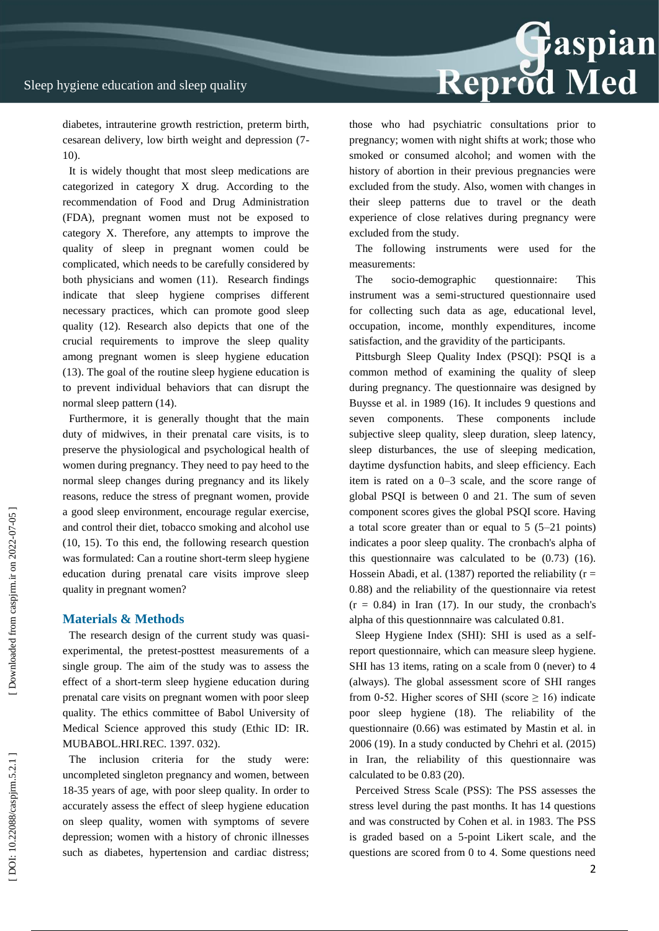Reprod Med

diabetes, intrauterine growth restriction, preterm birth, cesarean delivery, low birth weight and depression (7 - 10).

It is widely thought that most sleep medications are categorized in category X drug. According to the recommendation of Food and Drug Administration (FDA), pregnant women must not be exposed to category X. Therefore, any attempts to improve the quality of sleep in pregnant women could be complicated, which needs to be carefully considered by both physicians and women (11). Research findings indicate that sleep hygiene comprises different necessary practices, which can promote good sleep quality (12). Research also depicts that one of the crucial requirements to improve the sleep quality among pregnant women is sleep hygiene education (13). The goal of the routine sleep hygiene education is to prevent individual behaviors that can disrupt the normal sleep pattern (14).

Furthermore, it is generally thought that the main duty of midwives, in their prenatal care visits, is to preserve the physiological and psychological health of women during pregnancy. They need to pay heed to the normal sleep changes during pregnancy and its likely reasons, reduce the stress of pregnant women, provide a good sleep environment, encourage regular exercise, and control their diet, tobacco smoking and alcohol use (10, 15). To this end, the following research question was formulated: Can a routine short -term sleep hygiene education during prenatal care visits improve sleep quality in pregnant women?

#### **Materials & Methods**

The research design of the current study was quasi experimental, the pretest -posttest measurements of a single group. The aim of the study was to assess the effect of a short -term sleep hygiene education during prenatal care visits on pregnant women with poor sleep quality. The ethics committee of Babol University of Medical Science approved this study (Ethic ID: IR. MUBABOL.HRI.REC. 1397. 032).

The inclusion criteria for the study were: uncompleted singleton pregnancy and women, between 18 -35 years of age, with poor sleep quality. In order to accurately assess the effect of sleep hygiene education on sleep quality, women with symptoms of severe depression; women with a history of chronic illnesses such as diabetes, hypertension and cardiac distress;

those who had psychiatric consultations prior to pregnancy; women with night shifts at work; those who smoked or consumed alcohol; and women with the history of abortion in their previous pregnancies were excluded from the study. Also, women with changes in their sleep patterns due to travel or the death experience of close relatives during pregnancy were excluded from the study.

The following instruments were used for the measurements:

The socio-demographic questionnaire: This instrument was a semi -structured questionnaire used for collecting such data as age, educational level, occupation, income, monthly expenditures, income satisfaction, and the gravidity of the participants.

Pittsburgh Sleep Quality Index (PSQI): PSQI is a common method of examining the quality of sleep during pregnancy. The questionnaire was designed by Buysse et al. in 1989 (16). It includes 9 questions and seven components. These components include subjective sleep quality, sleep duration, sleep latency, sleep disturbances, the use of sleeping medication, daytime dysfunction habits, and sleep efficiency. Each item is rated on a 0 –3 scale, and the score range of global PSQI is between 0 and 21. The sum of seven component scores gives the global PSQI score. Having a total score greater than or equal to 5 (5 –21 points) indicates a poor sleep quality. The cronbach's alpha of this questionnaire was calculated to be (0.73) (16). Hossein Abadi, et al.  $(1387)$  reported the reliability  $(r =$ 0.88) and the reliability of the questionnaire via retest  $(r = 0.84)$  in Iran (17). In our study, the cronbach's alpha of this questionnnaire was calculated 0.81.

Sleep Hygiene Index (SHI): SHI is used as a self report questionnaire, which can measure sleep hygiene. SHI has 13 items, rating on a scale from 0 (never) to 4 (always). The global assessment score of SHI ranges from 0-52. Higher scores of SHI (score  $\geq$  16) indicate poor sleep hygiene (18). The reliability of the questionnaire (0.66) was estimated by Mastin et al. in 2006 (19). In a study conducted by Chehri et al. (2015) in Iran, the reliability of this questionnaire was calculated to be 0.83 (20).

Perceived Stress Scale (PSS): The PSS assesses the stress level during the past months. It has 14 questions and was constructed by Cohen et al. in 1983. The PSS is graded based on a 5 -point Likert scale, and the questions are scored from 0 to 4. Some questions need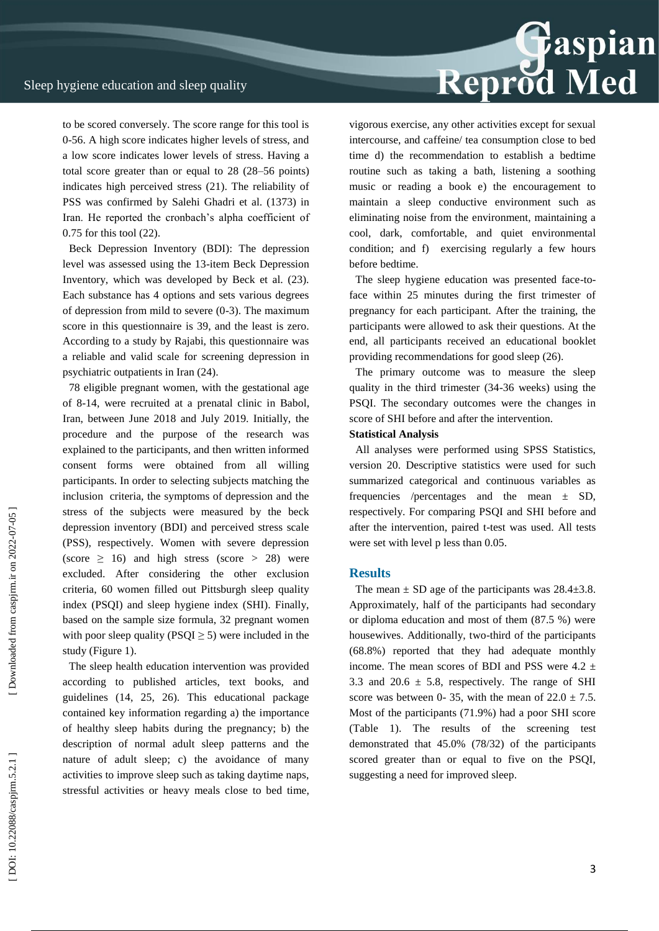Reprod Med

to be scored conversely. The score range for this tool is 0-56. A high score indicates higher levels of stress, and a low score indicates lower levels of stress. Having a total score greater than or equal to 28 (28 –56 points) indicates high perceived stress (21). The reliability of PSS was confirmed by Salehi Ghadri et al. (1373) in Iran. He reported the cronbach's alpha coefficient of 0.75 for this tool (22).

Beck Depression Inventory (BDI): The depression level was assessed using the 13 -item Beck Depression Inventory, which was developed by Beck et al. (23). Each substance has 4 options and sets various degrees of depression from mild to severe (0 -3). The maximum score in this questionnaire is 39, and the least is zero. According to a study by Rajabi, this questionnaire was a reliable and valid scale for screening depression in psychiatric outpatients in Iran (24).

78 eligible pregnant women, with the gestational age of 8 -14, were recruited at a prenatal clinic in Babol, Iran, between June 2018 and July 2019. Initially, the procedure and the purpose of the research was explained to the participants, and then written informed consent forms were obtained from all willing participants. In order to selecting subjects matching the inclusion criteria, the symptoms of depression and the stress of the subjects were measured by the beck depression inventory (BDI) and perceived stress scale (PSS), respectively. Women with severe depression (score  $\geq$  16) and high stress (score  $>$  28) were excluded. After considering the other exclusion criteria, 60 women filled out Pittsburgh sleep quality index (PSQI) and sleep hygiene index (SHI). Finally, based on the sample size formula, 32 pregnant women with poor sleep quality ( $PSQI \geq 5$ ) were included in the study (Figure 1).

The sleep health education intervention was provided according to published articles, text books, and guidelines (14, 25, 26). This educational package contained key information regarding a) the importance of healthy sleep habits during the pregnancy; b) the description of normal adult sleep patterns and the nature of adult sleep; c) the avoidance of many activities to improve sleep such as taking daytime naps, stressful activities or heavy meals close to bed time, vigorous exercise, any other activities except for sexual intercourse, and caffeine/ tea consumption close to bed time d) the recommendation to establish a bedtime routine such as taking a bath, listening a soothing music or reading a book e) the encouragement to maintain a sleep conductive environment such as eliminating noise from the environment, maintaining a cool, dark, comfortable, and quiet environmental condition; and f) exercising regularly a few hours before bedtime.

The sleep hygiene education was presented face-toface within 25 minutes during the first trimester of pregnancy for each participant. After the training, the participants were allowed to ask their questions. At the end, all participants received an educational booklet providing recommendations for good sleep (26).

The primary outcome was to measure the sleep quality in the third trimester (34 -36 weeks) using the PSQI. The secondary outcomes were the changes in score of SHI before and after the intervention.

#### **Statistical Analysis**

All analyses were performed using SPSS Statistics, version 20. Descriptive statistics were used for such summarized categorical and continuous variables as frequencies /percentages and the mean  $\pm$  SD, respectively. For comparing PSQI and SHI before and after the intervention, paired t -test was used. All tests were set with level p less than 0.05.

#### **Results**

The mean  $\pm$  SD age of the participants was 28.4 $\pm$ 3.8. Approximately, half of the participants had secondary or diploma education and most of them (87.5 %) were housewives. Additionally, two -third of the participants (68.8%) reported that they had adequate monthly income. The mean scores of BDI and PSS were  $4.2 \pm$ 3.3 and 20.6  $\pm$  5.8, respectively. The range of SHI score was between 0-35, with the mean of  $22.0 \pm 7.5$ . Most of the participants (71.9%) had a poor SHI score (Table 1). The results of the screening test demonstrated that 45.0% ( 78/32) of the participants scored greater than or equal to five on the PSQI, suggesting a need for improved sleep.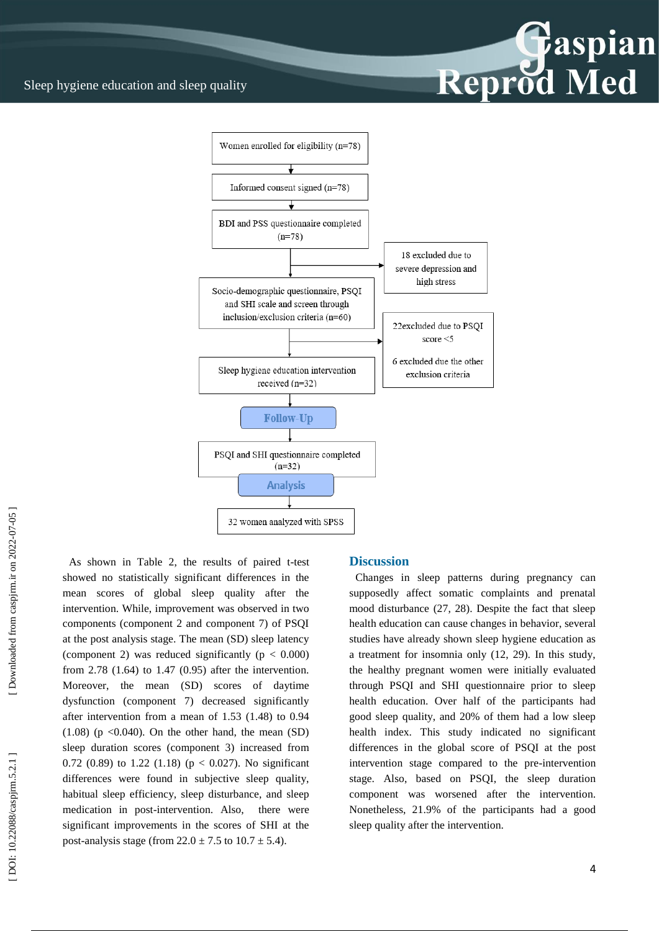Sleep hygiene education and sleep quality



As shown in Table 2, the results of paired t -test showed no statistically significant differences in the mean scores of global sleep quality after the intervention. While, improvement was observed in two components (component 2 and component 7) of PSQI at the post analysis stage. The mean (SD) sleep latency (component 2) was reduced significantly ( $p < 0.000$ ) from 2.78 (1.64) to 1.47 (0.95) after the intervention. Moreover, the mean (SD) scores of daytime dysfunction (component 7) decreased significantly after intervention from a mean of 1.53 (1.48) to 0.94  $(1.08)$  (p < 0.040). On the other hand, the mean (SD) sleep duration scores (component 3) increased from 0.72 (0.89) to 1.22 (1.18) ( $p < 0.027$ ). No significant differences were found in subjective sleep quality, habitual sleep efficiency, sleep disturbance, and sleep medication in post -intervention. Also, there were significant improvements in the scores of SHI at the post-analysis stage (from  $22.0 \pm 7.5$  to  $10.7 \pm 5.4$ ).

#### **Discussion**

Changes in sleep patterns during pregnancy can supposedly affect somatic complaints and prenatal mood disturbance (27, 28). Despite the fact that sleep health education can cause changes in behavior, several studies have already shown sleep hygiene education as a treatment for insomnia only (12, 29). In this study, the healthy pregnant women were initially evaluated through PSQI and SHI questionnaire prior to sleep health education. Over half of the participants had good sleep quality, and 20% of them had a low sleep health index. This study indicated no significant differences in the global score of PSQI at the post intervention stage compared to the pre -intervention stage. Also, based on PSQI, the sleep duration component was worsened after the intervention. Nonetheless, 21.9% of the participants had a good sleep quality after the intervention.

Reprod Med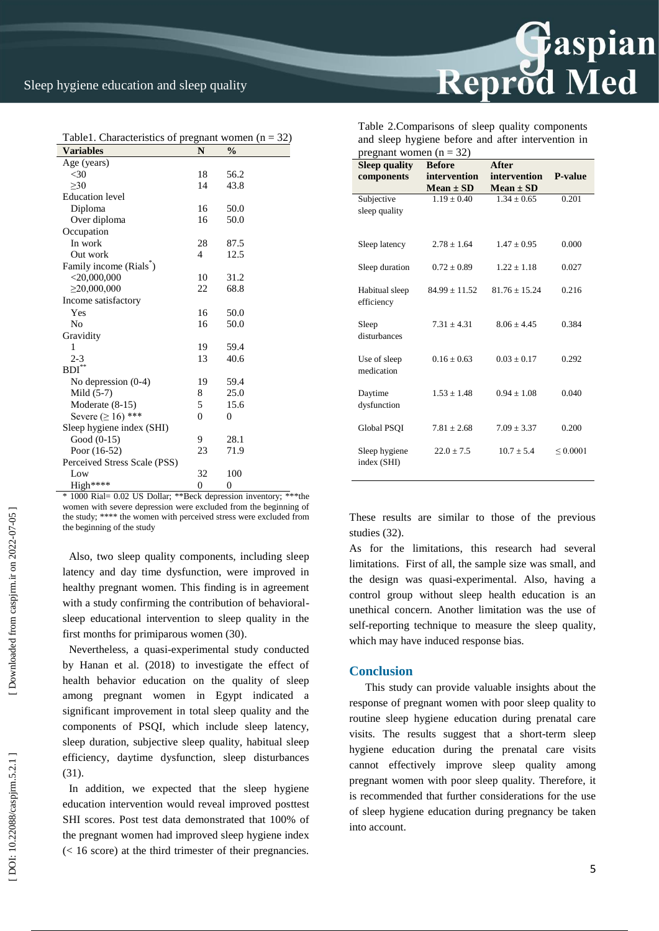$\overline{\phantom{a}}$ 

| Table 1. Characteristics of pregnant women $(n = 32)$ |                |               |  |  |
|-------------------------------------------------------|----------------|---------------|--|--|
| <b>Variables</b>                                      | N              | $\frac{0}{0}$ |  |  |
| Age (years)                                           |                |               |  |  |
| $30$                                                  | 18             | 56.2          |  |  |
| >30                                                   | 14             | 43.8          |  |  |
| <b>Education</b> level                                |                |               |  |  |
| Diploma                                               | 16             | 50.0          |  |  |
| Over diploma                                          | 16             | 50.0          |  |  |
| Occupation                                            |                |               |  |  |
| In work                                               | 28             | 87.5          |  |  |
| Out work                                              | 4              | 12.5          |  |  |
| Family income (Rials)                                 |                |               |  |  |
| $<$ 20,000,000                                        | 10             | 31.2          |  |  |
| $\geq$ 20,000,000                                     | 22             | 68.8          |  |  |
| Income satisfactory                                   |                |               |  |  |
| Yes                                                   | 16             | 50.0          |  |  |
| No                                                    | 16             | 50.0          |  |  |
| Gravidity                                             |                |               |  |  |
| 1                                                     | 19             | 59.4          |  |  |
| $2 - 3$                                               | 13             | 40.6          |  |  |
| $\mathrm{BDI}^{**}$                                   |                |               |  |  |
| No depression $(0-4)$                                 | 19             | 59.4          |  |  |
| Mild $(5-7)$                                          | 8              | 25.0          |  |  |
| Moderate (8-15)                                       | 5              | 15.6          |  |  |
| Severe $(≥ 16)$ ***                                   | $\theta$       | 0             |  |  |
| Sleep hygiene index (SHI)                             |                |               |  |  |
| Good $(0-15)$                                         | 9              | 28.1          |  |  |
| Poor $(16-52)$                                        | 23             | 71.9          |  |  |
| Perceived Stress Scale (PSS)                          |                |               |  |  |
| Low                                                   | 32             | 100           |  |  |
| High****                                              | $\overline{0}$ | $\theta$      |  |  |

\* 1000 Rial= 0.02 US Dollar; \*\*Beck depression inventory; \*\*\*the women with severe depression were excluded from the beginning of the study; \*\*\*\* the women with perceived stress were excluded from the beginning of the study

Also, two sleep quality components, including sleep latency and day time dysfunction, were improved in healthy pregnant women. This finding is in agreement with a study confirming the contribution of behavioral sleep educational intervention to sleep quality in the first months for primiparous women (30) .

Nevertheless, a quasi -experimental study conducted by Hanan et al. (2018) to investigate the effect of health behavior education on the quality of sleep among pregnant women in Egypt indicated a significant improvement in total sleep quality and the components of PSQI, which include sleep latency, sleep duration, subjective sleep quality, habitual sleep efficiency, daytime dysfunction, sleep disturbances (31).

In addition, we expected that the sleep hygiene education intervention would reveal improved posttest SHI scores. Post test data demonstrated that 100% of the pregnant women had improved sleep hygiene index  $(< 16 \text{ score})$  at the third trimester of their pregnancies. Reprod Med

| Table 2. Comparisons of sleep quality components   |  |
|----------------------------------------------------|--|
| and sleep hygiene before and after intervention in |  |
| pregnant women $(n = 32)$                          |  |

| <b>Sleep quality</b> | <b>Before</b>     | After           |                |
|----------------------|-------------------|-----------------|----------------|
| components           | intervention      | intervention    | <b>P-value</b> |
|                      | $Mean \pm SD$     | $Mean \pm SD$   |                |
| Subjective           | $1.19 \pm 0.40$   | $1.34 \pm 0.65$ | 0.201          |
| sleep quality        |                   |                 |                |
|                      |                   |                 |                |
| Sleep latency        | $2.78 \pm 1.64$   | $1.47 \pm 0.95$ | 0.000          |
|                      |                   |                 |                |
| Sleep duration       | $0.72 \pm 0.89$   | $1.22 + 1.18$   | 0.027          |
|                      |                   |                 |                |
| Habitual sleep       | $84.99 \pm 11.52$ | $81.76 + 15.24$ | 0.216          |
| efficiency           |                   |                 |                |
|                      |                   |                 |                |
| Sleep                | $7.31 + 4.31$     | $8.06 + 4.45$   | 0.384          |
| disturbances         |                   |                 |                |
| Use of sleep         | $0.16 + 0.63$     | $0.03 + 0.17$   | 0.292          |
| medication           |                   |                 |                |
|                      |                   |                 |                |
| Daytime              | $1.53 \pm 1.48$   | $0.94 + 1.08$   | 0.040          |
| dysfunction          |                   |                 |                |
|                      |                   |                 |                |
| Global PSOI          | $7.81 \pm 2.68$   | $7.09 \pm 3.37$ | 0.200          |
|                      |                   |                 |                |
| Sleep hygiene        | $22.0 \pm 7.5$    | $10.7 \pm 5.4$  | ${}_{0.0001}$  |
| index (SHI)          |                   |                 |                |
|                      |                   |                 |                |

These results are similar to those of the previous studies (32) .

As for the limitations, this research had several limitations. First of all, the sample size was small, and the design was quasi -experimental. Also, having a control group without sleep health education is an unethical concern. Another limitation was the use of self-reporting technique to measure the sleep quality, which may have induced response bias.

#### **Conclusion**

This study can provide valuable insights about the response of pregnant women with poor sleep quality to routine sleep hygiene education during prenatal care visits. The results suggest that a short -term sleep hygiene education during the prenatal care visits cannot effectively improve sleep quality among pregnant women with poor sleep quality. Therefore, it is recommended that further considerations for the use of sleep hygiene education during pregnancy be taken into account.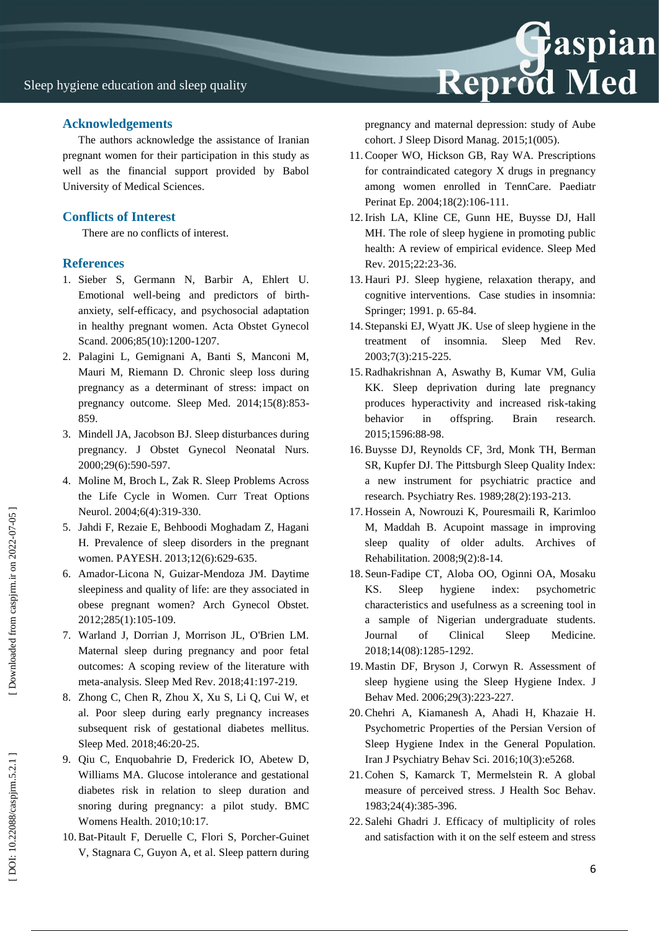#### **Acknowledgements**

The authors acknowledge the assistance of Iranian pregnant women for their participation in this study as well as the financial support provided by Babol University of Medical Sciences.

### **Conflicts of Interest**

There are no conflicts of interest.

#### **References**

- 1. Sieber S, Germann N, Barbir A, Ehlert U. Emotional well -being and predictors of birth anxiety, self-efficacy, and psychosocial adaptation in healthy pregnant women. Acta Obstet Gynecol Scand. 2006;85(10):1200-1207.
- 2. Palagini L, Gemignani A, Banti S, Manconi M, Mauri M, Riemann D. Chronic sleep loss during pregnancy as a determinant of stress: impact on pregnancy outcome. Sleep Med. 2014;15(8):853 - 859.
- 3. Mindell JA, Jacobson BJ. Sleep disturbances during pregnancy. J Obstet Gynecol Neonatal Nurs. 2000;29(6):590 -597.
- 4. Moline M, Broch L, Zak R. Sleep Problems Across the Life Cycle in Women. Curr Treat Options Neurol. 2004;6(4):319 -330.
- 5. Jahdi F, Rezaie E, Behboodi Moghadam Z, Hagani H. Prevalence of sleep disorders in the pregnant women. PAYESH. 2013;12(6):629 -635.
- 6. Amador -Licona N, Guizar -Mendoza JM. Daytime sleepiness and quality of life: are they associated in obese pregnant women? Arch Gynecol Obstet. 2012;285(1):105 -109.
- 7. Warland J, Dorrian J, Morrison JL, O'Brien LM. Maternal sleep during pregnancy and poor fetal outcomes: A scoping review of the literature with meta -analysis. Sleep Med Rev. 2018;41:197 -219.
- 8. Zhong C, Chen R, Zhou X, Xu S, Li Q, Cui W, et al. Poor sleep during early pregnancy increases subsequent risk of gestational diabetes mellitus. Sleep Med. 2018;46:20 -25.
- 9. Qiu C, Enquobahrie D, Frederick IO, Abetew D, Williams MA. Glucose intolerance and gestational diabetes risk in relation to sleep duration and snoring during pregnancy: a pilot study. BMC Womens Health. 2010;10:17.
- 10.Bat -Pitault F, Deruelle C, Flori S, Porcher -Guinet V, Stagnara C, Guyon A, et al. Sleep pattern during



pregnancy and maternal depression: study of Aube cohort. J Sleep Disord Manag. 2015;1(005).

- 11.Cooper WO, Hickson GB, Ray WA. Prescriptions for contraindicated category X drugs in pregnancy among women enrolled in TennCare. Paediatr Perinat Ep. 2004;18(2):106 -111.
- 12.Irish LA, Kline CE, Gunn HE, Buysse DJ, Hall MH. The role of sleep hygiene in promoting public health: A review of empirical evidence. Sleep Med Rev. 2015;22:23 -36.
- 13. Hauri PJ. Sleep hygiene, relaxation therapy, and cognitive interventions. Case studies in insomnia: Springer; 1991. p. 65 -84.
- 14. Stepanski EJ, Wyatt JK. Use of sleep hygiene in the treatment of insomnia. Sleep Med Rev. 2003;7(3):215 -225.
- 15.Radhakrishnan A, Aswathy B, Kumar VM, Gulia KK. Sleep deprivation during late pregnancy produces hyperactivity and increased risk -taking behavior in offspring. Brain research. 2015;1596:88 -98.
- 16.Buysse DJ, Reynolds CF, 3rd, Monk TH, Berman SR, Kupfer DJ. The Pittsburgh Sleep Quality Index: a new instrument for psychiatric practice and research. Psychiatry Res. 1989;28(2):193 -213.
- 17. Hossein A, Nowrouzi K, Pouresmaili R, Karimloo M, Maddah B. Acupoint massage in improving sleep quality of older adults. Archives of Rehabilitation. 2008;9(2):8 -14.
- 18. Seun -Fadipe CT, Aloba OO, Oginni OA, Mosaku KS. Sleep hygiene index: psychometric characteristics and usefulness as a screening tool in a sample of Nigerian undergraduate students. Journal of Clinical Sleep Medicine. 2018;14(08):1285 -1292.
- 19. Mastin DF, Bryson J, Corwyn R. Assessment of sleep hygiene using the Sleep Hygiene Index. J Behav Med. 2006;29(3):223 -227.
- 20.Chehri A, Kiamanesh A, Ahadi H, Khazaie H. Psychometric Properties of the Persian Version of Sleep Hygiene Index in the General Population. Iran J Psychiatry Behav Sci. 2016;10(3):e5268.
- 21.Cohen S, Kamarck T, Mermelstein R. A global measure of perceived stress. J Health Soc Behav. 1983;24(4):385 -396.
- 22. Salehi Ghadri J. Efficacy of multiplicity of roles and satisfaction with it on the self esteem and stress